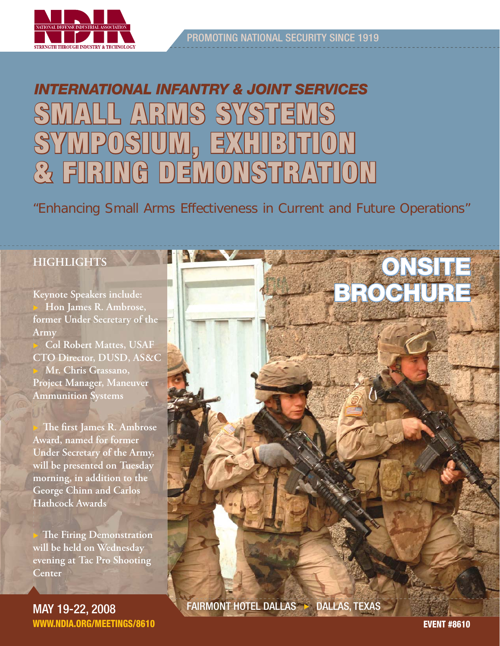

PROMOTING NATIONAL SECURITY SINCE 1919

# *INTERNATIONAL INFANTRY & JOINT SERVICES* **SMALL ARMS SYSTEMS MALL ARMS SYMPOSIUM, EXHIBITION YMPOSIUM, EXHIBITION & FIRING DEMONSTRATION DEMONSTRATION**

*"Enhancing Small Arms Effectiveness in Current and Future Operations"*

#### **HIGHLIGHTS**

**Keynote Speakers include:** <sup>X</sup>**Hon James R. Ambrose, former Under Secretary of the Army**

**Col Robert Mattes, USAF CTO Director, DUSD, AS&C** <sup>X</sup>**Mr. Chris Grassano, Project Manager, Maneuver Ammunition Systems**

**The first James R. Ambrose Award, named for former Under Secretary of the Army, will be presented on Tuesday morning, in addition to the George Chinn and Carlos Hathcock Awards** 

**The Firing Demonstration will be held on Wednesday evening at Tac Pro Shooting Center**

MAY 19-22, 2008 **WWW.NDIA.ORG/MEETINGS/8610**



FAIRMONT HOTEL DALLAS DALLAS, TEXAS

**EVENT #8610**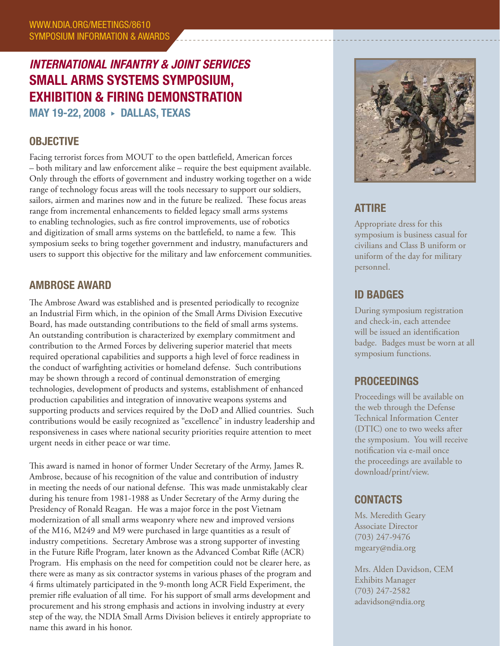### *INTERNATIONAL INFANTRY & JOINT SERVICES* **SMALL ARMS SYSTEMS SYMPOSIUM, EXHIBITION & FIRING DEMONSTRATION**

**MAY 19-22, 2008 ▶ DALLAS, TEXAS** 

#### **OBJECTIVE**

Facing terrorist forces from MOUT to the open battlefield, American forces – both military and law enforcement alike – require the best equipment available. Only through the efforts of government and industry working together on a wide range of technology focus areas will the tools necessary to support our soldiers, sailors, airmen and marines now and in the future be realized. These focus areas range from incremental enhancements to fielded legacy small arms systems to enabling technologies, such as fire control improvements, use of robotics and digitization of small arms systems on the battlefield, to name a few. This symposium seeks to bring together government and industry, manufacturers and users to support this objective for the military and law enforcement communities.

#### **AMBROSE AWARD**

The Ambrose Award was established and is presented periodically to recognize an Industrial Firm which, in the opinion of the Small Arms Division Executive Board, has made outstanding contributions to the field of small arms systems. An outstanding contribution is characterized by exemplary commitment and contribution to the Armed Forces by delivering superior materiel that meets required operational capabilities and supports a high level of force readiness in the conduct of warfighting activities or homeland defense. Such contributions may be shown through a record of continual demonstration of emerging technologies, development of products and systems, establishment of enhanced production capabilities and integration of innovative weapons systems and supporting products and services required by the DoD and Allied countries. Such contributions would be easily recognized as "excellence" in industry leadership and responsiveness in cases where national security priorities require attention to meet urgent needs in either peace or war time.

This award is named in honor of former Under Secretary of the Army, James R. Ambrose, because of his recognition of the value and contribution of industry in meeting the needs of our national defense. This was made unmistakably clear during his tenure from 1981-1988 as Under Secretary of the Army during the Presidency of Ronald Reagan. He was a major force in the post Vietnam modernization of all small arms weaponry where new and improved versions of the M16, M249 and M9 were purchased in large quantities as a result of industry competitions. Secretary Ambrose was a strong supporter of investing in the Future Rifle Program, later known as the Advanced Combat Rifle (ACR) Program. His emphasis on the need for competition could not be clearer here, as there were as many as six contractor systems in various phases of the program and 4 firms ultimately participated in the 9-month long ACR Field Experiment, the premier rifle evaluation of all time. For his support of small arms development and procurement and his strong emphasis and actions in involving industry at every step of the way, the NDIA Small Arms Division believes it entirely appropriate to name this award in his honor.



#### **ATTIRE**

Appropriate dress for this symposium is business casual for civilians and Class B uniform or uniform of the day for military personnel.

#### **ID BADGES**

During symposium registration and check-in, each attendee will be issued an identification badge. Badges must be worn at all symposium functions.

#### **PROCEEDINGS**

Proceedings will be available on the web through the Defense Technical Information Center (DTIC) one to two weeks after the symposium. You will receive notification via e-mail once the proceedings are available to download/print/view.

#### **CONTACTS**

Ms. Meredith Geary Associate Director (703) 247-9476 mgeary@ndia.org

Mrs. Alden Davidson, CEM Exhibits Manager (703) 247-2582 adavidson@ndia.org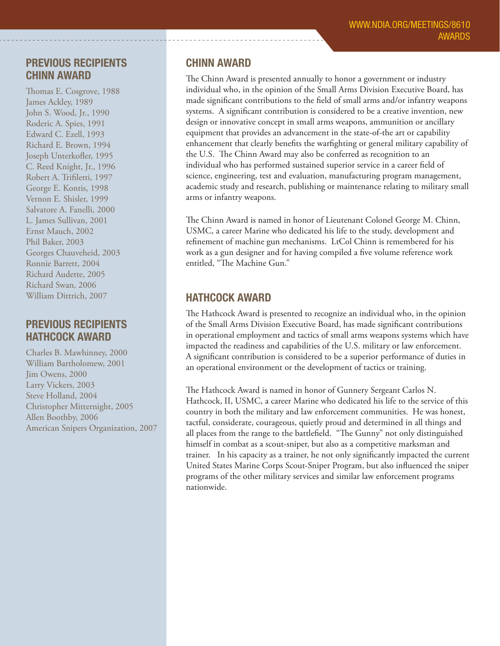#### **PREVIOUS RECIPIENTS CHINN AWARD**

Thomas E. Cosgrove, 1988 James Ackley, 1989 John S. Wood, Jr., 1990 Roderic A. Spies, 1991 Edward C. Ezell, 1993 Richard E. Brown, 1994 Joseph Unterkofler, 1995 C. Reed Knight, Jr., 1996 Robert A. Trifiletti, 1997 George E. Kontis, 1998 Vernon E. Shisler, 1999 Salvatore A. Fanelli, 2000 L. James Sullivan, 2001 Ernst Mauch, 2002 Phil Baker, 2003 Georges Chauveheid, 2003 Ronnie Barrett, 2004 Richard Audette, 2005 Richard Swan, 2006 William Dittrich, 2007

#### **PREVIOUS RECIPIENTS HATHCOCK AWARD**

Charles B. Mawhinney, 2000 William Bartholomew, 2001 Jim Owens, 2000 Larry Vickers, 2003 Steve Holland, 2004 Christopher Mitternight, 2005 Allen Boothby, 2006 American Snipers Organization, 2007

#### **CHINN AWARD**

The Chinn Award is presented annually to honor a government or industry individual who, in the opinion of the Small Arms Division Executive Board, has made significant contributions to the field of small arms and/or infantry weapons systems. A significant contribution is considered to be a creative invention, new design or innovative concept in small arms weapons, ammunition or ancillary equipment that provides an advancement in the state-of-the art or capability enhancement that clearly benefits the warfighting or general military capability of the U.S. The Chinn Award may also be conferred as recognition to an individual who has performed sustained superior service in a career field of science, engineering, test and evaluation, manufacturing program management, academic study and research, publishing or maintenance relating to military small arms or infantry weapons.

The Chinn Award is named in honor of Lieutenant Colonel George M. Chinn, USMC, a career Marine who dedicated his life to the study, development and refinement of machine gun mechanisms. LtCol Chinn is remembered for his work as a gun designer and for having compiled a five volume reference work entitled, "The Machine Gun."

#### **HATHCOCK AWARD**

The Hathcock Award is presented to recognize an individual who, in the opinion of the Small Arms Division Executive Board, has made significant contributions in operational employment and tactics of small arms weapons systems which have impacted the readiness and capabilities of the U.S. military or law enforcement. A significant contribution is considered to be a superior performance of duties in an operational environment or the development of tactics or training.

The Hathcock Award is named in honor of Gunnery Sergeant Carlos N. Hathcock, II, USMC, a career Marine who dedicated his life to the service of this country in both the military and law enforcement communities. He was honest, tactful, considerate, courageous, quietly proud and determined in all things and all places from the range to the battlefield. "The Gunny" not only distinguished himself in combat as a scout-sniper, but also as a competitive marksman and trainer. In his capacity as a trainer, he not only significantly impacted the current United States Marine Corps Scout-Sniper Program, but also influenced the sniper programs of the other military services and similar law enforcement programs nationwide.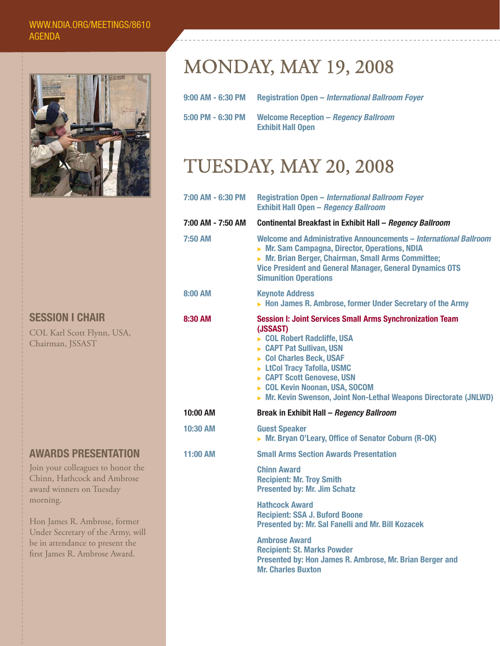#### WWW.NDIA.ORG/MEETINGS/8610 AGENDA



| <b>SESSION I CHAIR</b>     |
|----------------------------|
| COL Karl Scott Flynn, USA, |
| Chairman, JSSAST           |

**AWARDS PRESENTATION** Join your colleagues to honor the Chinn, Hathcock and Ambrose

award winners on Tuesday morning.

Hon James R. Ambrose, former Under Secretary of the Army, will be in attendance to present the first James R. Ambrose Award.

## MONDAY, MAY 19, 2008

| 9:00 AM - 6:30 PM | <b>Registration Open – International Ballroom Foyer</b>                 |
|-------------------|-------------------------------------------------------------------------|
| 5:00 PM - 6:30 PM | <b>Welcome Reception - Regency Ballroom</b><br><b>Exhibit Hall Open</b> |

## TUESDAY, MAY 20, 2008

| 7:00 AM - 6:30 PM | <b>Registration Open - International Ballroom Foyer</b><br><b>Exhibit Hall Open - Regency Ballroom</b>                                                                                                                                                                                                                      |
|-------------------|-----------------------------------------------------------------------------------------------------------------------------------------------------------------------------------------------------------------------------------------------------------------------------------------------------------------------------|
| 7:00 AM - 7:50 AM | Continental Breakfast in Exhibit Hall - Regency Ballroom                                                                                                                                                                                                                                                                    |
| 7:50 AM           | Welcome and Administrative Announcements - International Ballroom<br>▶ Mr. Sam Campagna, Director, Operations, NDIA<br>▶ Mr. Brian Berger, Chairman, Small Arms Committee;<br><b>Vice President and General Manager, General Dynamics OTS</b><br><b>Simunition Operations</b>                                               |
| 8:00 AM           | <b>Keynote Address</b><br>• Hon James R. Ambrose, former Under Secretary of the Army                                                                                                                                                                                                                                        |
| 8:30 AM           | <b>Session I: Joint Services Small Arms Synchronization Team</b><br>(JSSAST)<br>COL Robert Radcliffe, USA<br>► CAPT Pat Sullivan, USN<br>Col Charles Beck, USAF<br>LtCol Tracy Tafolla, USMC<br>CAPT Scott Genovese, USN<br>COL Kevin Noonan, USA, SOCOM<br>Mr. Kevin Swenson, Joint Non-Lethal Weapons Directorate (JNLWD) |
| 10:00 AM          | Break in Exhibit Hall - Regency Ballroom                                                                                                                                                                                                                                                                                    |
| <b>10:30 AM</b>   | <b>Guest Speaker</b><br>Mr. Bryan O'Leary, Office of Senator Coburn (R-OK)                                                                                                                                                                                                                                                  |
| <b>11:00 AM</b>   | <b>Small Arms Section Awards Presentation</b>                                                                                                                                                                                                                                                                               |
|                   | <b>Chinn Award</b><br><b>Recipient: Mr. Troy Smith</b><br><b>Presented by: Mr. Jim Schatz</b>                                                                                                                                                                                                                               |
|                   | <b>Hathcock Award</b><br><b>Recipient: SSA J. Buford Boone</b><br>Presented by: Mr. Sal Fanelli and Mr. Bill Kozacek                                                                                                                                                                                                        |
|                   | <b>Ambrose Award</b><br><b>Recipient: St. Marks Powder</b><br>Presented by: Hon James R. Ambrose, Mr. Brian Berger and<br><b>Mr. Charles Buxton</b>                                                                                                                                                                         |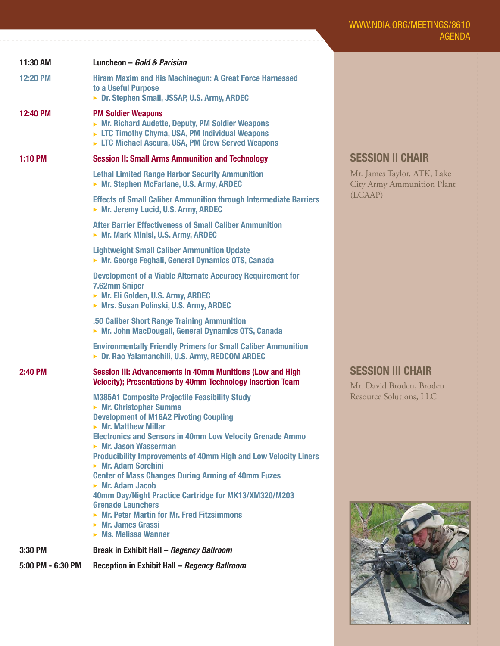**SESSION II CHAIR** 

**SESSION III CHAIR** 

Mr. David Broden, Broden Resource Solutions, LLC

(LCAAP)

Mr. James Taylor, ATK, Lake r. City Army Ammunition Plant

| 11:30 AM          | Luncheon – Gold & Parisian                                                                                                                                                                                                                                                                                                                                                                                                                                                                                                                                                                                                                                                                           |
|-------------------|------------------------------------------------------------------------------------------------------------------------------------------------------------------------------------------------------------------------------------------------------------------------------------------------------------------------------------------------------------------------------------------------------------------------------------------------------------------------------------------------------------------------------------------------------------------------------------------------------------------------------------------------------------------------------------------------------|
| <b>12:20 PM</b>   | Hiram Maxim and His Machinegun: A Great Force Harnessed<br>to a Useful Purpose<br>> Dr. Stephen Small, JSSAP, U.S. Army, ARDEC                                                                                                                                                                                                                                                                                                                                                                                                                                                                                                                                                                       |
| <b>12:40 PM</b>   | <b>PM Soldier Weapons</b><br>► Mr. Richard Audette, Deputy, PM Soldier Weapons<br>$\triangleright$ LTC Timothy Chyma, USA, PM Individual Weapons<br>LTC Michael Ascura, USA, PM Crew Served Weapons                                                                                                                                                                                                                                                                                                                                                                                                                                                                                                  |
| <b>1:10 PM</b>    | <b>Session II: Small Arms Ammunition and Technology</b>                                                                                                                                                                                                                                                                                                                                                                                                                                                                                                                                                                                                                                              |
|                   | <b>Lethal Limited Range Harbor Security Ammunition</b><br>Mr. Stephen McFarlane, U.S. Army, ARDEC                                                                                                                                                                                                                                                                                                                                                                                                                                                                                                                                                                                                    |
|                   | <b>Effects of Small Caliber Ammunition through Intermediate Barriers</b><br>Mr. Jeremy Lucid, U.S. Army, ARDEC                                                                                                                                                                                                                                                                                                                                                                                                                                                                                                                                                                                       |
|                   | <b>After Barrier Effectiveness of Small Caliber Ammunition</b><br>▶ Mr. Mark Minisi, U.S. Army, ARDEC                                                                                                                                                                                                                                                                                                                                                                                                                                                                                                                                                                                                |
|                   | <b>Lightweight Small Caliber Ammunition Update</b><br>▶ Mr. George Feghali, General Dynamics OTS, Canada                                                                                                                                                                                                                                                                                                                                                                                                                                                                                                                                                                                             |
|                   | Development of a Viable Alternate Accuracy Requirement for<br><b>7.62mm Sniper</b><br>▶ Mr. Eli Golden, U.S. Army, ARDEC<br>Mrs. Susan Polinski, U.S. Army, ARDEC                                                                                                                                                                                                                                                                                                                                                                                                                                                                                                                                    |
|                   | .50 Caliber Short Range Training Ammunition<br>▶ Mr. John MacDougall, General Dynamics OTS, Canada                                                                                                                                                                                                                                                                                                                                                                                                                                                                                                                                                                                                   |
|                   | <b>Environmentally Friendly Primers for Small Caliber Ammunition</b><br>> Dr. Rao Yalamanchili, U.S. Army, REDCOM ARDEC                                                                                                                                                                                                                                                                                                                                                                                                                                                                                                                                                                              |
| <b>2:40 PM</b>    | <b>Session III: Advancements in 40mm Munitions (Low and High</b><br><b>Velocity); Presentations by 40mm Technology Insertion Team</b>                                                                                                                                                                                                                                                                                                                                                                                                                                                                                                                                                                |
|                   | <b>M385A1 Composite Projectile Feasibility Study</b><br>▶ Mr. Christopher Summa<br><b>Development of M16A2 Pivoting Coupling</b><br>$\triangleright$ Mr. Matthew Millar<br><b>Electronics and Sensors in 40mm Low Velocity Grenade Ammo</b><br>$\triangleright$ Mr. Jason Wasserman<br><b>Producibility Improvements of 40mm High and Low Velocity Liners</b><br>▶ Mr. Adam Sorchini<br><b>Center of Mass Changes During Arming of 40mm Fuzes</b><br>$\triangleright$ Mr. Adam Jacob<br>40mm Day/Night Practice Cartridge for MK13/XM320/M203<br><b>Grenade Launchers</b><br>▶ Mr. Peter Martin for Mr. Fred Fitzsimmons<br>$\triangleright$ Mr. James Grassi<br>$\triangleright$ Ms. Melissa Wanner |
| 3:30 PM           | Break in Exhibit Hall - Regency Ballroom                                                                                                                                                                                                                                                                                                                                                                                                                                                                                                                                                                                                                                                             |
| 5:00 PM - 6:30 PM | Reception in Exhibit Hall - Regency Ballroom                                                                                                                                                                                                                                                                                                                                                                                                                                                                                                                                                                                                                                                         |

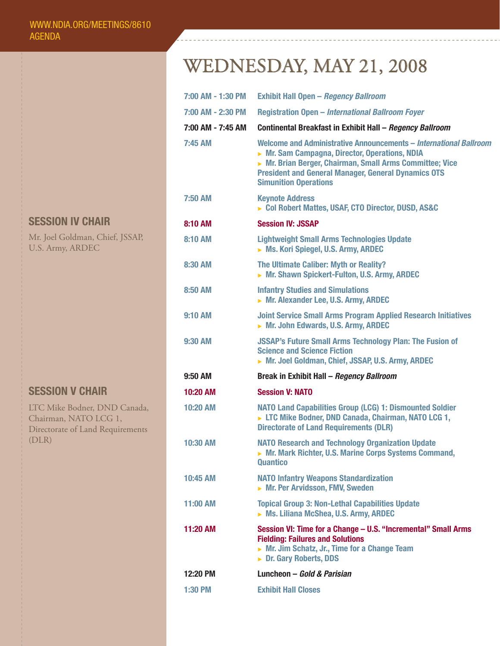#### WWW.NDIA.ORG/MEETINGS/8610 AGENDA

#### **SESSION IV CHAIR**

Mr. Joel Goldman, Chief, JSSAP, U.S. Army, ARDEC

#### **SESSION V CHAIR**

LTC Mike Bodner, DND Canada, Chairman, NATO LCG 1, Directorate of Land Requirements (DLR)

## WEDNESDAY, MAY 21, 2008

| 7:00 AM - 1:30 PM | <b>Exhibit Hall Open - Regency Ballroom</b>                                                                                                                                                                                                                                   |
|-------------------|-------------------------------------------------------------------------------------------------------------------------------------------------------------------------------------------------------------------------------------------------------------------------------|
| 7:00 AM - 2:30 PM | <b>Registration Open - International Ballroom Foyer</b>                                                                                                                                                                                                                       |
| 7:00 AM - 7:45 AM | Continental Breakfast in Exhibit Hall - Regency Ballroom                                                                                                                                                                                                                      |
| 7:45 AM           | Welcome and Administrative Announcements - International Ballroom<br>▶ Mr. Sam Campagna, Director, Operations, NDIA<br>▶ Mr. Brian Berger, Chairman, Small Arms Committee; Vice<br><b>President and General Manager, General Dynamics OTS</b><br><b>Simunition Operations</b> |
| 7:50 AM           | <b>Keynote Address</b><br>Col Robert Mattes, USAF, CTO Director, DUSD, AS&C                                                                                                                                                                                                   |
| <b>8:10 AM</b>    | <b>Session IV: JSSAP</b>                                                                                                                                                                                                                                                      |
| <b>8:10 AM</b>    | <b>Lightweight Small Arms Technologies Update</b><br>Ms. Kori Spiegel, U.S. Army, ARDEC                                                                                                                                                                                       |
| 8:30 AM           | The Ultimate Caliber: Myth or Reality?<br>Mr. Shawn Spickert-Fulton, U.S. Army, ARDEC                                                                                                                                                                                         |
| <b>8:50 AM</b>    | <b>Infantry Studies and Simulations</b><br>Mr. Alexander Lee, U.S. Army, ARDEC                                                                                                                                                                                                |
| <b>9:10 AM</b>    | <b>Joint Service Small Arms Program Applied Research Initiatives</b><br>Mr. John Edwards, U.S. Army, ARDEC                                                                                                                                                                    |
| 9:30 AM           | <b>JSSAP's Future Small Arms Technology Plan: The Fusion of</b><br><b>Science and Science Fiction</b><br>Mr. Joel Goldman, Chief, JSSAP, U.S. Army, ARDEC                                                                                                                     |
| 9:50 AM           | Break in Exhibit Hall - Regency Ballroom                                                                                                                                                                                                                                      |
| <b>10:20 AM</b>   | <b>Session V: NATO</b>                                                                                                                                                                                                                                                        |
|                   |                                                                                                                                                                                                                                                                               |
| 10:20 AM          | <b>NATO Land Capabilities Group (LCG) 1: Dismounted Soldier</b><br>LTC Mike Bodner, DND Canada, Chairman, NATO LCG 1,<br><b>Directorate of Land Requirements (DLR)</b>                                                                                                        |
| 10:30 AM          | <b>NATO Research and Technology Organization Update</b><br>▶ Mr. Mark Richter, U.S. Marine Corps Systems Command,<br><b>Quantico</b>                                                                                                                                          |
| 10:45 AM          | <b>NATO Infantry Weapons Standardization</b><br>Mr. Per Arvidsson, FMV, Sweden                                                                                                                                                                                                |
| <b>11:00 AM</b>   | <b>Topical Group 3: Non-Lethal Capabilities Update</b><br>Ms. Liliana McShea, U.S. Army, ARDEC                                                                                                                                                                                |
| 11:20 AM          | Session VI: Time for a Change - U.S. "Incremental" Small Arms<br><b>Fielding: Failures and Solutions</b><br>Mr. Jim Schatz, Jr., Time for a Change Team<br>▶ Dr. Gary Roberts, DDS                                                                                            |
| 12:20 PM          | Luncheon – Gold & Parisian                                                                                                                                                                                                                                                    |
| $1:30$ PM         | <b>Exhibit Hall Closes</b>                                                                                                                                                                                                                                                    |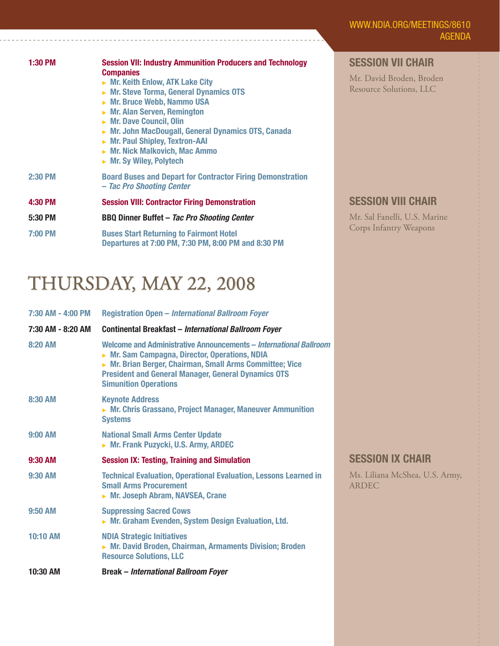| WWW.NDIA.ORG/MEETINGS/8610 |  |
|----------------------------|--|
| <b>AGENDA</b>              |  |

Marine

**SESSION IX CHAIR** 

ARDEC

Ms. Liliana McShea, U.S. Army,

| <b>1:30 PM</b> | <b>Session VII: Industry Ammunition Producers and Technology</b><br><b>Companies</b><br>$\triangleright$ Mr. Keith Enlow, ATK Lake City<br>$\triangleright$ Mr. Steve Torma, General Dynamics OTS<br>► Mr. Bruce Webb, Nammo USA<br>$\triangleright$ Mr. Alan Serven, Remington<br>$\triangleright$ Mr. Dave Council, Olin<br>▶ Mr. John MacDougall, General Dynamics OTS, Canada<br>▶ Mr. Paul Shipley, Textron-AAI<br>$\triangleright$ Mr. Nick Malkovich, Mac Ammo<br>$\triangleright$ Mr. Sy Wiley, Polytech | <b>SESSION VII CHAIR</b><br>Mr. David Broden, Broden<br>Resource Solutions, LLC |
|----------------|------------------------------------------------------------------------------------------------------------------------------------------------------------------------------------------------------------------------------------------------------------------------------------------------------------------------------------------------------------------------------------------------------------------------------------------------------------------------------------------------------------------|---------------------------------------------------------------------------------|
| <b>2:30 PM</b> | <b>Board Buses and Depart for Contractor Firing Demonstration</b><br>- Tac Pro Shooting Center                                                                                                                                                                                                                                                                                                                                                                                                                   |                                                                                 |
| 4:30 PM        | <b>Session VIII: Contractor Firing Demonstration</b>                                                                                                                                                                                                                                                                                                                                                                                                                                                             | <b>SESSION VIII CHAIR</b>                                                       |
| 5:30 PM        | BBQ Dinner Buffet - Tac Pro Shooting Center                                                                                                                                                                                                                                                                                                                                                                                                                                                                      | Mr. Sal Fanelli, U.S. Marino                                                    |
| <b>7:00 PM</b> | <b>Buses Start Returning to Fairmont Hotel</b><br>Departures at 7:00 PM, 7:30 PM, 8:00 PM and 8:30 PM                                                                                                                                                                                                                                                                                                                                                                                                            | Corps Infantry Weapons                                                          |

## THURSDAY, MAY 22, 2008

| 7:30 AM - 4:00 PM | <b>Registration Open - International Ballroom Foyer</b>                                                                                                                                                                                                                     |
|-------------------|-----------------------------------------------------------------------------------------------------------------------------------------------------------------------------------------------------------------------------------------------------------------------------|
| 7:30 AM - 8:20 AM | <b>Continental Breakfast - International Ballroom Foyer</b>                                                                                                                                                                                                                 |
| $8:20$ AM         | Welcome and Administrative Announcements – International Ballroom<br>Mr. Sam Campagna, Director, Operations, NDIA<br>▶ Mr. Brian Berger, Chairman, Small Arms Committee; Vice<br><b>President and General Manager, General Dynamics OTS</b><br><b>Simunition Operations</b> |
| 8:30 AM           | <b>Keynote Address</b><br>▶ Mr. Chris Grassano, Project Manager, Maneuver Ammunition<br><b>Systems</b>                                                                                                                                                                      |
| $9:00$ AM         | <b>National Small Arms Center Update</b><br>Mr. Frank Puzycki, U.S. Army, ARDEC                                                                                                                                                                                             |
| 9:30 AM           | <b>Session IX: Testing, Training and Simulation</b>                                                                                                                                                                                                                         |
| 9:30 AM           | <b>Technical Evaluation, Operational Evaluation, Lessons Learned in</b><br><b>Small Arms Procurement</b><br>Mr. Joseph Abram, NAVSEA, Crane                                                                                                                                 |
| $9:50$ AM         | <b>Suppressing Sacred Cows</b><br>▶ Mr. Graham Evenden, System Design Evaluation, Ltd.                                                                                                                                                                                      |
| 10:10 AM          | <b>NDIA Strategic Initiatives</b><br>▶ Mr. David Broden, Chairman, Armaments Division; Broden<br><b>Resource Solutions, LLC</b>                                                                                                                                             |
| 10:30 AM          | <b>Break - International Ballroom Foyer</b>                                                                                                                                                                                                                                 |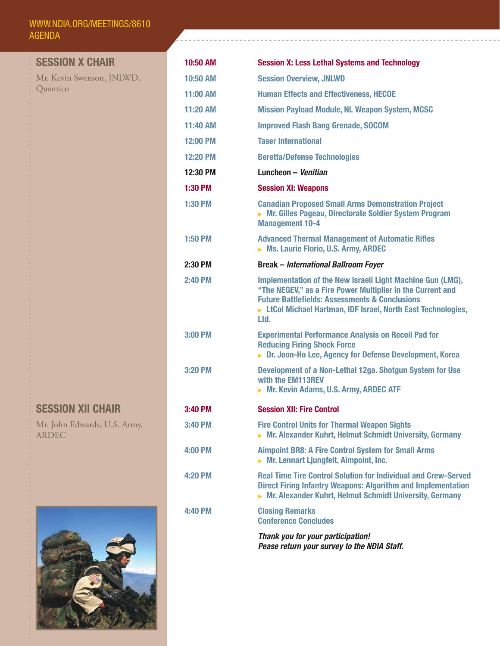#### WWW.NDIA.ORG/MEETINGS/8610 AGENDA

**SESSION X CHAIR** Mr. Kevin Swenson, JNLWD, Quantico

### **SESSION XII CHAIR**

Mr. John Edwards, U.S. Army, ARDEC



| <b>10:50 AM</b> | <b>Session X: Less Lethal Systems and Technology</b>                                                                                                                                                                                                           |
|-----------------|----------------------------------------------------------------------------------------------------------------------------------------------------------------------------------------------------------------------------------------------------------------|
| 10:50 AM        | <b>Session Overview, JNLWD</b>                                                                                                                                                                                                                                 |
| 11:00 AM        | <b>Human Effects and Effectiveness, HECOE</b>                                                                                                                                                                                                                  |
| 11:20 AM        | <b>Mission Payload Module, NL Weapon System, MCSC</b>                                                                                                                                                                                                          |
| 11:40 AM        | <b>Improved Flash Bang Grenade, SOCOM</b>                                                                                                                                                                                                                      |
| <b>12:00 PM</b> | <b>Taser International</b>                                                                                                                                                                                                                                     |
| <b>12:20 PM</b> | <b>Beretta/Defense Technologies</b>                                                                                                                                                                                                                            |
| 12:30 PM        | Luncheon - Venitian                                                                                                                                                                                                                                            |
| 1:30 PM         | <b>Session XI: Weapons</b>                                                                                                                                                                                                                                     |
| 1:30 PM         | <b>Canadian Proposed Small Arms Demonstration Project</b><br>▶ Mr. Gilles Pageau, Directorate Soldier System Program<br><b>Management 10-4</b>                                                                                                                 |
| $1:50$ PM       | <b>Advanced Thermal Management of Automatic Rifles</b><br>Ms. Laurie Florio, U.S. Army, ARDEC                                                                                                                                                                  |
| 2:30 PM         | <b>Break - International Ballroom Foyer</b>                                                                                                                                                                                                                    |
| <b>2:40 PM</b>  | Implementation of the New Israeli Light Machine Gun (LMG),<br>"The NEGEV," as a Fire Power Multiplier in the Current and<br><b>Future Battlefields: Assessments &amp; Conclusions</b><br>► LtCol Michael Hartman, IDF Israel, North East Technologies,<br>Ltd. |
| 3:00 PM         | <b>Experimental Performance Analysis on Recoil Pad for</b><br><b>Reducing Firing Shock Force</b><br>> Dr. Joon-Ho Lee, Agency for Defense Development, Korea                                                                                                   |
| <b>3:20 PM</b>  | Development of a Non-Lethal 12ga. Shotgun System for Use<br>with the EM113REV<br>Mr. Kevin Adams, U.S. Army, ARDEC ATF                                                                                                                                         |
| 3:40 PM         | <b>Session XII: Fire Control</b>                                                                                                                                                                                                                               |
| 3:40 PM         | <b>Fire Control Units for Thermal Weapon Sights</b><br>$\triangleright$ Mr. Alexander Kuhrt, Helmut Schmidt University, Germany                                                                                                                                |
| 4:00 PM         | <b>Aimpoint BR8: A Fire Control System for Small Arms</b><br>$\triangleright$ Mr. Lennart Ljungfelt, Aimpoint, Inc.                                                                                                                                            |
| 4:20 PM         | <b>Real Time Tire Control Solution for Individual and Crew-Served</b><br><b>Direct Firing Infantry Weapons: Algorithm and Implementation</b><br>$\triangleright$ Mr. Alexander Kuhrt, Helmut Schmidt University, Germany                                       |
| $4:40$ PM       | <b>Closing Remarks</b><br><b>Conference Concludes</b>                                                                                                                                                                                                          |
|                 | Thank you for your participation!<br>$\mathbf{A}$ $\mathbf{D}$ $\mathbf{A}$ $\mathbf{A}$                                                                                                                                                                       |

 *Pease return your survey to the NDIA Staff.*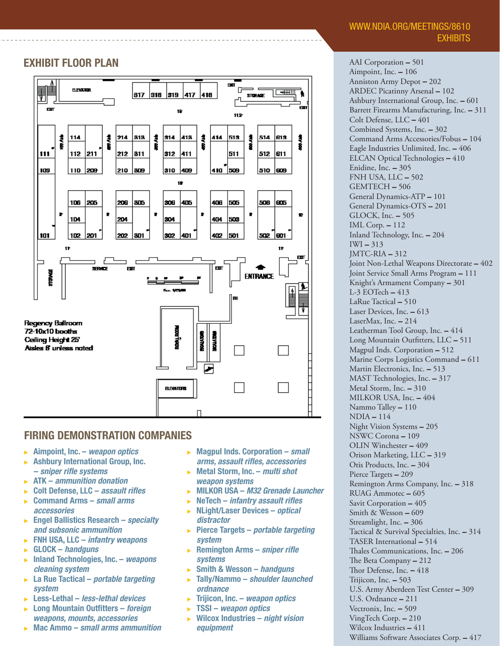#### WWW.NDIA.ORG/MEETINGS/8610 **EXHIBITS**

#### **EXHIBIT FLOOR PLAN**



#### **FIRING DEMONSTRATION COMPANIES**

- <sup>X</sup>**Aimpoint, Inc.** *weapon optics*
- **Ashbury International Group, Inc. –** *sniper rifl e systems*
- <sup>X</sup>**ATK** *ammunition donation*
- <sup>X</sup>**Colt Defense, LLC** *assault rifl es*
- <sup>X</sup>**Command Arms** *small arms accessories*
- ▶ Engel Ballistics Research *specialty and subsonic ammunition*
- <sup>X</sup>**FNH USA, LLC** *infantry weapons*
- <sup>X</sup>**GLOCK** *handguns*
- ▶ Inland Technologies, Inc. *weapons cleaning system*
- <sup>X</sup>**La Rue Tactical** *portable targeting system*
- <sup>X</sup>**Less-Lethal** *less-lethal devices*
- **Long Mountain Outfitters** *foreign weapons, mounts, accessories*
- <sup>X</sup>**Mac Ammo** *small arms ammunition*
- <sup>X</sup> **Magpul Inds. Corporation –** *small arms, assault rifl es, accessories*
- ▶ Metal Storm, Inc. *multi shot weapon systems*
- <sup>X</sup> **MILKOR USA** *M32 Grenade Launcher*
- **NeTech** *infantry assault rifles*
- <sup>X</sup>**NLight/Laser Devices** *optical distractor*
- <sup>X</sup>**Pierce Targets** *portable targeting system*
- **Remington Arms** *sniper rifle systems*
- <sup>X</sup>**Smith & Wesson** *handguns*
- <sup>X</sup>**Tally/Nammo** *shoulder launched ordnance*
- <sup>X</sup>**Trijicon, Inc.** *weapon optics*
- <sup>X</sup>**TSSI** *weapon optics*
- <sup>X</sup>**Wilcox Industries** *night vision equipment*

AAI Corporation – 501 Aimpoint, Inc. – 106 Anniston Army Depot – 202 ARDEC Picatinny Arsenal – 102 Ashbury International Group, Inc. – 601 Barrett Firearms Manufacturing, Inc. – 311 Colt Defense, LLC – 401 Combined Systems, Inc. – 302 Command Arms Accessories/Fobus – 104 Eagle Industries Unlimited, Inc. – 406 ELCAN Optical Technologies – 410 Enidine, Inc. – 305 FNH USA, LLC – 502 GEMTECH – 506 General Dynamics-ATP – 101 General Dynamics-OTS – 201 GLOCK, Inc. – 505 IML Corp. – 112 Inland Technology, Inc. – 204 IWI – 313 JMTC-RIA – 312 Joint Non-Lethal Weapons Directorate – 402 Joint Service Small Arms Program – 111 Knight's Armament Company – 301 L-3 EOTech – 413 LaRue Tactical – 510 Laser Devices, Inc. – 613 LaserMax, Inc. – 214 Leatherman Tool Group, Inc. – 414 Long Mountain Outfitters, LLC-511 Magpul Inds. Corporation – 512 Marine Corps Logistics Command – 611 Martin Electronics, Inc. – 513 MAST Technologies, Inc. – 317 Metal Storm, Inc. – 310 MILKOR USA, Inc. – 404 Nammo Talley – 110 NDIA – 114 Night Vision Systems – 205 NSWC Corona – 109 OLIN Winchester – 409 Orison Marketing, LLC – 319 Otis Products, Inc. – 304 Pierce Targets – 209 Remington Arms Company, Inc. – 318 RUAG Ammotec – 605 Savit Corporation – 405 Smith & Wesson – 609 Streamlight, Inc. – 306 Tactical & Survival Specialties, Inc. – 314 TASER International – 514 Thales Communications, Inc. - 206 The Beta Company - 212 Thor Defense, Inc. - 418 Trijicon, Inc. – 503 U.S. Army Aberdeen Test Center – 309 U.S. Ordnance – 211 Vectronix, Inc. – 509 VingTech Corp. – 210 Wilcox Industries – 411 Williams Software Associates Corp. – 417